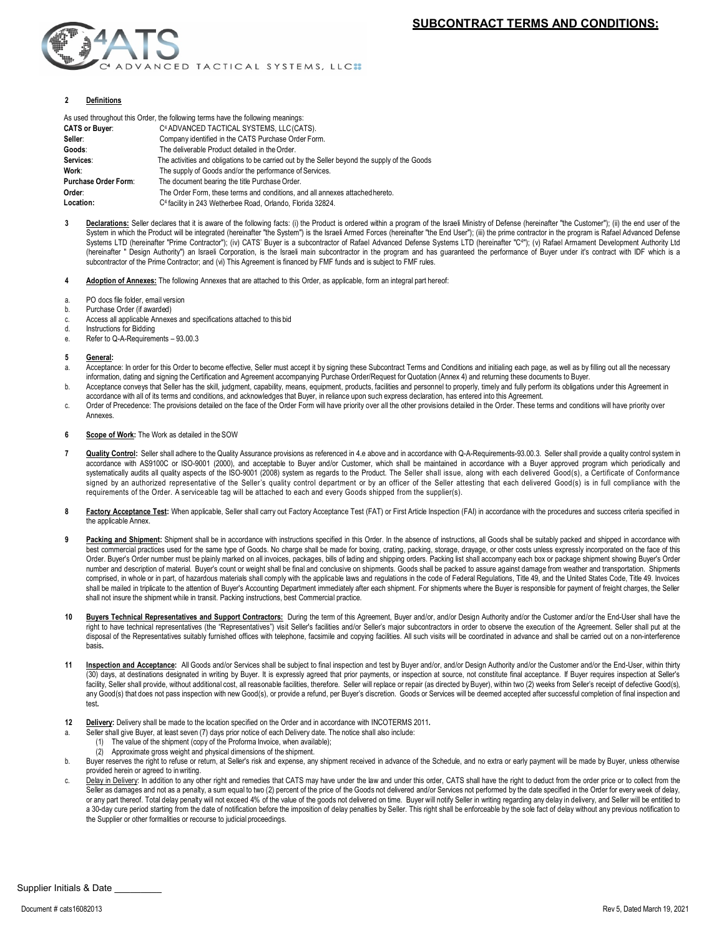

## **2 Definitions**

|                             | As used throughout this Order, the following terms have the following meanings:               |
|-----------------------------|-----------------------------------------------------------------------------------------------|
| <b>CATS or Buyer:</b>       | C <sup>4</sup> ADVANCED TACTICAL SYSTEMS, LLC (CATS).                                         |
| Seller:                     | Company identified in the CATS Purchase Order Form.                                           |
| Goods:                      | The deliverable Product detailed in the Order.                                                |
| Services:                   | The activities and obligations to be carried out by the Seller beyond the supply of the Goods |
| Work:                       | The supply of Goods and/or the performance of Services.                                       |
| <b>Purchase Order Form:</b> | The document bearing the title Purchase Order.                                                |
| Order:                      | The Order Form, these terms and conditions, and all annexes attached hereto.                  |
| Location:                   | C <sup>4</sup> facility in 243 Wetherbee Road, Orlando, Florida 32824.                        |

- 3 Declarations: Seller declares that it is aware of the following facts: (i) the Product is ordered within a program of the Israeli Ministry of Defense (hereinafter "the Customer"); (ii) the end user of the System in which the Product will be integrated (hereinafter "the System") is the Israeli Armed Forces (hereinafter "the End User"); (iii) the prime contractor in the program is Rafael Advanced Defense Systems LTD (hereinafter "Prime Contractor"); (iv) CATS' Buyer is a subcontractor of Rafael Advanced Defense Systems LTD (hereinafter "C4"); (v) Rafael Armament Development Authority Ltd (hereinafter " Design Authority") an Israeli Corporation, is the Israeli main subcontractor in the program and has guaranteed the performance of Buyer under it's contract with IDF which is a subcontractor of the Prime Contractor; and (vi) This Agreement is financed by FMF funds and is subject to FMF rules.
- **4 Adoption of Annexes:** The following Annexes that are attached to this Order, as applicable, form an integral part hereof:
- a. PO docs file folder, email version
- b. Purchase Order (if awarded)
- c. Access all applicable Annexes and specifications attached to this bid
- d. Instructions for Bidding
- e. Refer to Q-A-Requirements 93.00.3
- **5 General:**
- Acceptance: In order for this Order to become effective, Seller must accept it by signing these Subcontract Terms and Conditions and initialing each page, as well as by filling out all the necessary information, dating and signing the Certification and Agreement accompanying Purchase Order/Request for Quotation (Annex 4) and returning these documents to Buyer.
- b. Acceptance conveys that Seller has the skill, judgment, capability, means, equipment, products, facilities and personnel to properly, timely and fully perform its obligations under this Agreement in accordance with all of its terms and conditions, and acknowledges that Buyer, in reliance upon such express declaration, has entered into this Agreement.
- c. Order of Precedence: The provisions detailed on the face of the Order Form will have priority over all the other provisions detailed in the Order. These terms and conditions will have priority over Annexes.
- **6 Scope of Work:** The Work as detailed in the SOW
- 7 **Quality Control:** Seller shall adhere to the Quality Assurance provisions as referenced in 4.e above and in accordance with Q-A-Requirements-93.00.3. Seller shall provide a quality control system in accordance with AS9100C or ISO-9001 (2000), and acceptable to Buyer and/or Customer, which shall be maintained in accordance with a Buyer approved program which periodically and systematically audits all quality aspects of the ISO-9001 (2008) system as regards to the Product. The Seller shall issue, along with each delivered Good(s), a Certificate of Conformance signed by an authorized representative of the Seller's quality control department or by an officer of the Seller attesting that each delivered Good(s) is in full compliance with the requirements of the Order. A serviceable tag will be attached to each and every Goods shipped from the supplier(s).
- 8 Factory Acceptance Test: When applicable, Seller shall carry out Factory Acceptance Test (FAT) or First Article Inspection (FAI) in accordance with the procedures and success criteria specified in the applicable Annex.
- Packing and Shipment: Shipment shall be in accordance with instructions specified in this Order. In the absence of instructions, all Goods shall be suitably packed and shipped in accordance with best commercial practices used for the same type of Goods. No charge shall be made for boxing, crating, packing, storage, drayage, or other costs unless expressly incorporated on the face of this Order. Buyer's Order number must be plainly marked on all invoices, packages, bills of lading and shipping orders. Packing list shall accompany each box or package shipment showing Buyer's Order number and description of material. Buyer's count or weight shall be final and conclusive on shipments. Goods shall be packed to assure against damage from weather and transportation. Shipments comprised, in whole or in part, of hazardous materials shall comply with the applicable laws and regulations in the code of Federal Regulations, Title 49, and the United States Code, Title 49. Invoices shall be mailed in triplicate to the attention of Buyer's Accounting Department immediately after each shipment. For shipments where the Buyer is responsible for payment of freight charges, the Seller shall not insure the shipment while in transit. Packing instructions, best Commercial practice.
- 10 **Buyers Technical Representatives and Support Contractors:** During the term of this Agreement, Buyer and/or and/or Design Authority and/or the Customer and/or the End-User shall have the right to have technical representatives (the "Representatives") visit Seller's facilities and/or Seller's major subcontractors in order to observe the execution of the Agreement. Seller shall put at the disposal of the Representatives suitably furnished offices with telephone, facsimile and copying facilities. All such visits will be coordinated in advance and shall be carried out on a non-interference basis**.**
- 11 **Inspection and Acceptance:** All Goods and/or Services shall be subject to final inspection and test by Buyer and/or, and/or Design Authority and/or the Customer and/or the End-User, within thirty (30) days, at destinations designated in writing by Buyer. It is expressly agreed that prior payments, or inspection at source, not constitute final acceptance. If Buyer requires inspection at Seller's facility, Seller shall provide, without additional cost, all reasonable facilities, therefore. Seller will replace or repair (as directed by Buyer), within two (2) weeks from Seller's receipt of defective Good(s), any Good(s) that does not pass inspection with new Good(s), or provide a refund, per Buyer's discretion. Goods or Services will be deemed accepted after successful completion of final inspection and test**.**
- **12 Delivery:** Delivery shall be made to the location specified on the Order and in accordance with INCOTERMS 2011**.**
- a. Seller shall give Buyer, at least seven (7) days prior notice of each Delivery date. The notice shall also include:
	- (1) The value of the shipment (copy of the Proforma Invoice, when available);
	- (2) Approximate gross weight and physical dimensions of the shipment.
- b. Buyer reserves the right to refuse or return, at Seller's risk and expense, any shipment received in advance of the Schedule, and no extra or early payment will be made by Buyer, unless otherwise provided herein or agreed to inwriting.
- c. Delay in Delivery: In addition to any other right and remedies that CATS may have under the law and under this order, CATS shall have the right to deduct from the order price or to collect from the Seller as damages and not as a penalty, a sum equal to two (2) percent of the price of the Goods not delivered and/or Services not performed by the date specified in the Order for every week of delay, or any part thereof. Total delay penalty will not exceed 4% of the value of the goods not delivered on time. Buyer will notify Seller in writing regarding any delay in delivery, and Seller will be entitled to a 30-day cure period starting from the date of notification before the imposition of delay penalties by Seller. This right shall be enforceable by the sole fact of delay without any previous notification to the Supplier or other formalities or recourse to judicial proceedings.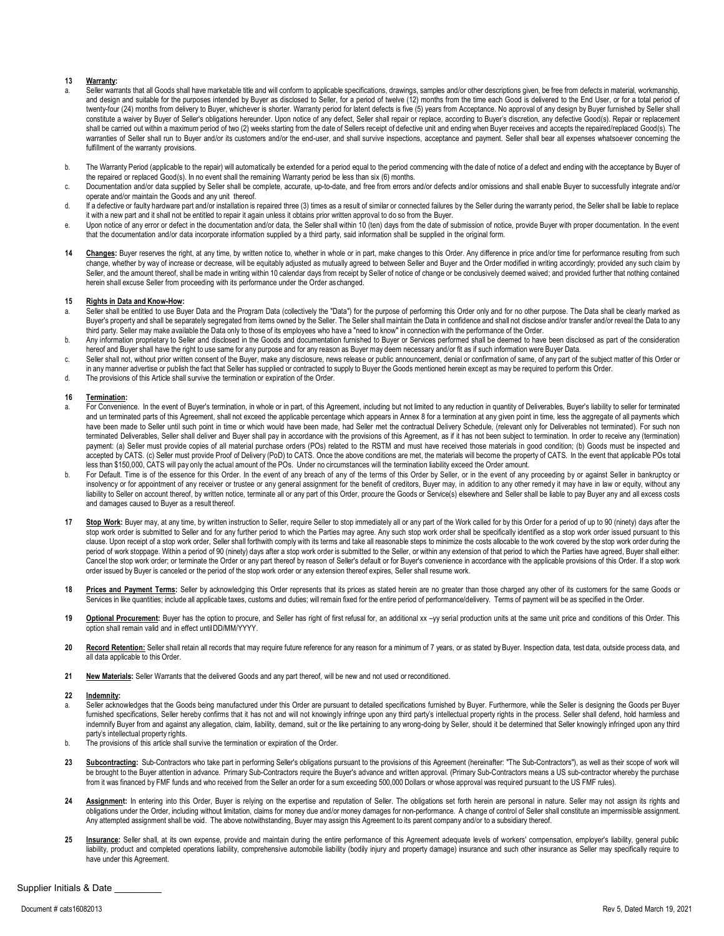## **13 Warranty:**

- Seller warrants that all Goods shall have marketable title and will conform to applicable specifications, drawings, samples and/or other descriptions given, be free from defects in material, workmanship, and design and suitable for the purposes intended by Buyer as disclosed to Seller, for a period of twelve (12) months from the time each Good is delivered to the End User, or for a total period of twenty-four (24) months from delivery to Buyer, whichever is shorter. Warranty period for latent defects is five (5) years from Acceptance. No approval of any design by Buyer furnished by Seller shall constitute a waiver by Buyer of Seller's obligations hereunder. Upon notice of any defect, Seller shall repair or replace, according to Buyer's discretion, any defective Good(s). Repair or replacement shall be carried out within a maximum period of two (2) weeks starting from the date of Sellers receipt of defective unit and ending when Buyer receives and accepts the repaired/replaced Good(s). The warranties of Seller shall run to Buyer and/or its customers and/or the end-user, and shall survive inspections, acceptance and payment. Seller shall bear all expenses whatsoever concerning the fulfillment of the warranty provisions.
- b. The Warranty Period (applicable to the repair) will automatically be extended for a period equal to the period commencing with the date of notice of a defect and ending with the acceptance by Buyer of the repaired or replaced Good(s). In no event shall the remaining Warranty period be less than six (6) months.
- c. Documentation and/or data supplied by Seller shall be complete, accurate, up-to-date, and free from errors and/or defects and/or omissions and shall enable Buyer to successfully integrate and/or operate and/or maintain the Goods and any unit thereof.
- d. If a defective or faulty hardware part and/or installation is repaired three (3) times as a result of similar or connected failures by the Seller during the warranty period, the Seller shall be liable to replace it with a new part and it shall not be entitled to repair it again unless it obtains prior written approval to do so from the Buyer.
- e. Upon notice of any error or defect in the documentation and/or data, the Seller shall within 10 (ten) days from the date of submission of notice, provide Buyer with proper documentation. In the event that the documentation and/or data incorporate information supplied by a third party, said information shall be supplied in the original form.
- 14 Changes: Buyer reserves the right, at any time, by written notice to, whether in whole or in part, make changes to this Order. Any difference in price and/or time for performance resulting from such change, whether by way of increase or decrease, will be equitably adjusted as mutually agreed to between Seller and Buyer and the Order modified in writing accordingly; provided any such claim by Seller. and the amount thereof, shall be made in writing within 10 calendar days from receipt by Seller of notice of change or be conclusively deemed waived; and provided further that nothing contained herein shall excuse Seller from proceeding with its performance under the Order aschanged.

### **15 Rights in Data and Know-How:**

- a. Seller shall be entitled to use Buyer Data and the Program Data (collectively the "Data") for the purpose of performing this Order only and for no other purpose. The Data shall be clearly marked as Buyer's property and shall be separately segregated from items owned by the Seller. The Seller shall maintain the Data in confidence and shall not disclose and/or transfer and/or reveal the Data to any third party. Seller may make available the Data only to those of its employees who have a "need to know" in connection with the performance of the Order.
- b. Any information proprietary to Seller and disclosed in the Goods and documentation furnished to Buyer or Services performed shall be deemed to have been disclosed as part of the consideration hereof and Buyer shall have the right to use same for any purpose and for any reason as Buyer may deem necessary and/or fit as if such information were Buyer Data.
- c. Seller shall not, without prior written consent of the Buyer, make any disclosure, news release or public announcement, denial or confirmation of same, of any part of the subject matter of this Order or in any manner advertise or publish the fact that Seller has supplied or contracted to supply to Buyer the Goods mentioned herein except as may be required to perform this Order.
- d. The provisions of this Article shall survive the termination or expiration of the Order.

#### **16 Termination:**

- a. For Convenience. In the event of Buyer's termination, in whole or in part, of this Agreement, including but not limited to any reduction in quantity of Deliverables, Buyer's liability to seller for terminated and un terminated parts of this Agreement, shall not exceed the applicable percentage which appears in Annex 8 for a termination at any given point in time, less the aggregate of all payments which have been made to Seller until such point in time or which would have been made, had Seller met the contractual Delivery Schedule, (relevant only for Deliverables not terminated). For such non terminated Deliverables, Seller shall deliver and Buyer shall pay in accordance with the provisions of this Agreement, as if it has not been subject to termination. In order to receive any (termination) payment: (a) Seller must provide copies of all material purchase orders (POs) related to the RSTM and must have received those materials in good condition; (b) Goods must be inspected and accepted by CATS. (c) Seller must provide Proof of Delivery (PoD) to CATS. Once the above conditions are met, the materials will become the property of CATS. In the event that applicable POs total less than \$150,000, CATS will pay only the actual amount of the POs. Under no circumstances will the termination liability exceed the Order amount.
- b. For Default. Time is of the essence for this Order. In the event of any breach of any of the terms of this Order by Seller, or in the event of any proceeding by or against Seller in bankruptcy or insolvency or for appointment of any receiver or trustee or any general assignment for the benefit of creditors, Buyer may, in addition to any other remedy it may have in law or equity, without any liability to Seller on account thereof, by written notice, terminate all or any part of this Order, procure the Goods or Service(s) elsewhere and Seller shall be liable to pay Buyer any and all excess costs and damages caused to Buyer as a result thereof.
- 17 Stop Work: Buyer may, at any time, by written instruction to Seller, require Seller to stop immediately all or any part of the Work called for by this Order for a period of up to 90 (ninety) days after the stop work order is submitted to Seller and for any further period to which the Parties may agree. Any such stop work order shall be specifically identified as a stop work order issued pursuant to this clause. Upon receipt of a stop work order, Seller shall forthwith comply with its terms and take all reasonable steps to minimize the costs allocable to the work covered by the stop work order during the period of work stoppage. Within a period of 90 (ninety) days after a stop work order is submitted to the Seller, or within any extension of that period to which the Parties have agreed, Buyer shall either: Cancel the stop work order; or terminate the Order or any part thereof by reason of Seller's default or for Buyer's convenience in accordance with the applicable provisions of this Order. If a stop work order issued by Buyer is canceled or the period of the stop work order or any extension thereof expires, Seller shall resume work.
- 18 Prices and Payment Terms: Seller by acknowledging this Order represents that its prices as stated herein are no greater than those charged any other of its customers for the same Goods or Services in like quantities; include all applicable taxes, customs and duties; will remain fixed for the entire period of performance/delivery. Terms of payment will be as specified in the Order.
- 19 Optional Procurement: Buyer has the option to procure, and Seller has right of first refusal for, an additional xx –yy serial production units at the same unit price and conditions of this Order. This option shall remain valid and in effect untilDD/MM/YYYY.
- 20 Record Retention: Seller shall retain all records that may require future reference for any reason for a minimum of 7 years, or as stated by Buyer. Inspection data, test data, outside process data, and all data applicable to this Order.
- **21 New Materials:** Seller Warrants that the delivered Goods and any part thereof, will be new and not used or reconditioned.

#### **22 Indemnity:**

- a. Seller acknowledges that the Goods being manufactured under this Order are pursuant to detailed specifications furnished by Buyer. Furthermore, while the Seller is designing the Goods per Buyer furnished specifications, Seller hereby confirms that it has not and will not knowingly infringe upon any third party's intellectual property rights in the process. Seller shall defend, hold harmless and indemnify Buyer from and against any allegation, claim, liability, demand, suit or the like pertaining to any wrong-doing by Seller, should it be determined that Seller knowingly infringed upon any third party's intellectual property rights.
- b. The provisions of this article shall survive the termination or expiration of the Order.
- 23 Subcontracting: Sub-Contractors who take part in performing Seller's obligations pursuant to the provisions of this Agreement (hereinafter: "The Sub-Contractors"), as well as their scope of work will be brought to the Buyer attention in advance. Primary Sub-Contractors require the Buyer's advance and written approval. (Primary Sub-Contractors means a US sub-contractor whereby the purchase from it was financed by FMF funds and who received from the Seller an order for a sum exceeding 500,000 Dollars or whose approval was required pursuant to the US FMF rules).
- 24 **Assignment:** In entering into this Order, Buyer is relying on the expertise and reputation of Seller. The obligations set forth herein are personal in nature. Seller may not assign its rights and obligations under the Order, including without limitation, claims for money due and/or money damages for non-performance. A change of control of Seller shall constitute an impermissible assignment. Any attempted assignment shall be void. The above notwithstanding, Buyer may assign this Agreement to its parent company and/or to a subsidiary thereof.
- 25 Insurance: Seller shall, at its own expense, provide and maintain during the entire performance of this Agreement adequate levels of workers' compensation, employer's liability, general public liability, product and completed operations liability, comprehensive automobile liability (bodily injury and property damage) insurance and such other insurance as Seller may specifically require to have under this Agreement.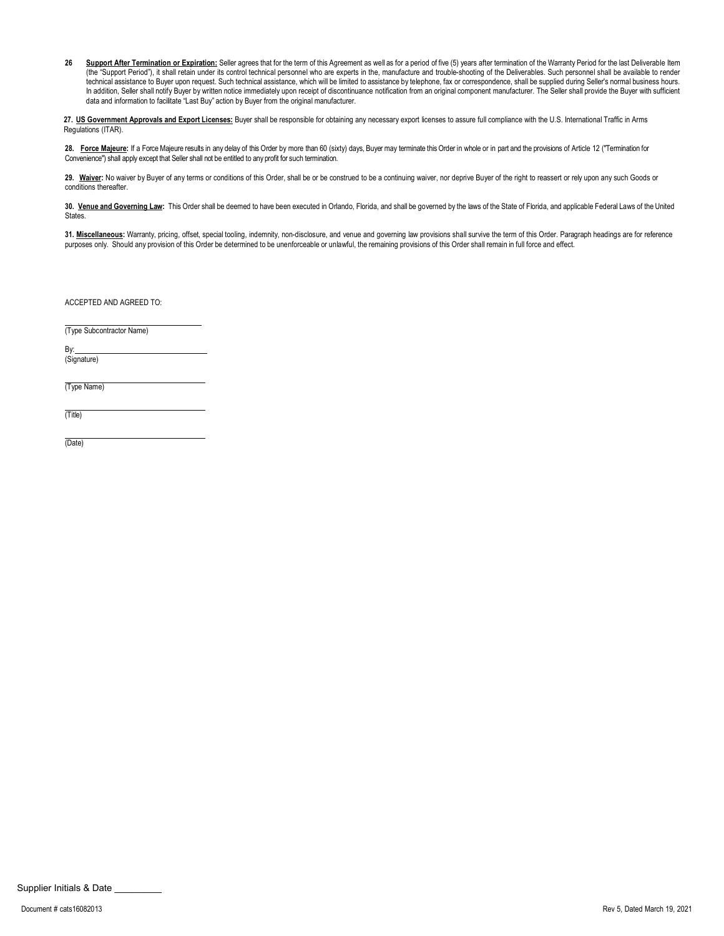26 Support After Termination or Expiration: Seller agrees that for the term of this Agreement as well as for a period of five (5) years after termination of the Warranty Period for the last Deliverable Item (the "Support Period"), it shall retain under its control technical personnel who are experts in the, manufacture and trouble-shooting of the Deliverables. Such personnel shall be available to render technical assistance to Buyer upon request. Such technical assistance, which will be limited to assistance by telephone, fax or correspondence, shall be supplied during Seller's normal business hours. In addition, Seller shall notify Buyer by written notice immediately upon receipt of discontinuance notification from an original component manufacturer. The Seller shall provide the Buyer with sufficient data and information to facilitate "Last Buy" action by Buyer from the original manufacturer.

27. US Government Approvals and Export Licenses: Buyer shall be responsible for obtaining any necessary export licenses to assure full compliance with the U.S. International Traffic in Arms Regulations (ITAR).

28. Force Majeure: If a Force Majeure results in any delay of this Order by more than 60 (sixty) days, Buyer may terminate this Order in whole or in part and the provisions of Article 12 ("Termination for Convenience") shall apply except that Seller shall not be entitled to any profit for such termination.

29. Waiver: No waiver by Buyer of any terms or conditions of this Order, shall be or be construed to be a continuing waiver, nor deprive Buyer of the right to reassert or rely upon any such Goods or conditions thereafter.

30. Venue and Governing Law: This Order shall be deemed to have been executed in Orlando, Florida, and shall be governed by the laws of the State of Florida, and applicable Federal Laws of the United States.

31. Miscellaneous: Warranty, pricing, offset, special tooling, indemnity, non-disclosure, and venue and governing law provisions shall survive the term of this Order. Paragraph headings are for reference purposes only. Should any provision of this Order be determined to be unenforceable or unlawful, the remaining provisions of this Order shall remain in full force and effect.

ACCEPTED AND AGREED TO:

(Type Subcontractor Name)

By: (Signature)

(Type Name)

(Title)

(Date)

Supplier Initials & Date